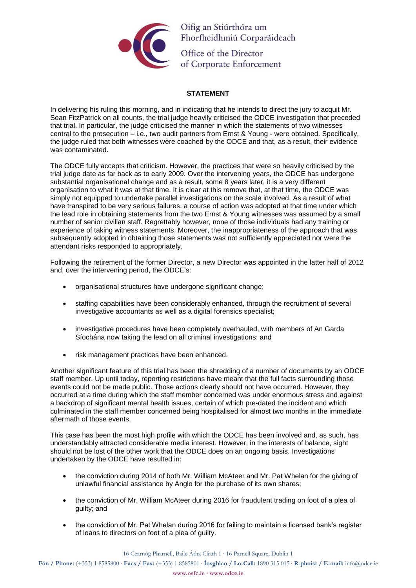

Oifig an Stiúrthóra um Fhorfheidhmiú Corparáideach

Office of the Director<br>of Corporate Enforcer of Corporate Enforcement

## **STATEMENT**

In delivering his ruling this morning, and in indicating that he intends to direct the jury to acquit Mr. Sean FitzPatrick on all counts, the trial judge heavily criticised the ODCE investigation that preceded that trial. In particular, the judge criticised the manner in which the statements of two witnesses central to the prosecution – i.e., two audit partners from Ernst & Young - were obtained. Specifically, the judge ruled that both witnesses were coached by the ODCE and that, as a result, their evidence was contaminated.

The ODCE fully accepts that criticism. However, the practices that were so heavily criticised by the trial judge date as far back as to early 2009. Over the intervening years, the ODCE has undergone substantial organisational change and as a result, some 8 years later, it is a very different organisation to what it was at that time. It is clear at this remove that, at that time, the ODCE was simply not equipped to undertake parallel investigations on the scale involved. As a result of what have transpired to be very serious failures, a course of action was adopted at that time under which the lead role in obtaining statements from the two Ernst & Young witnesses was assumed by a small number of senior civilian staff. Regrettably however, none of those individuals had any training or experience of taking witness statements. Moreover, the inappropriateness of the approach that was subsequently adopted in obtaining those statements was not sufficiently appreciated nor were the attendant risks responded to appropriately.

Following the retirement of the former Director, a new Director was appointed in the latter half of 2012 and, over the intervening period, the ODCE's:

- organisational structures have undergone significant change;
- staffing capabilities have been considerably enhanced, through the recruitment of several investigative accountants as well as a digital forensics specialist:
- investigative procedures have been completely overhauled, with members of An Garda Síochána now taking the lead on all criminal investigations; and
- risk management practices have been enhanced.

Another significant feature of this trial has been the shredding of a number of documents by an ODCE staff member. Up until today, reporting restrictions have meant that the full facts surrounding those events could not be made public. Those actions clearly should not have occurred. However, they occurred at a time during which the staff member concerned was under enormous stress and against a backdrop of significant mental health issues, certain of which pre-dated the incident and which culminated in the staff member concerned being hospitalised for almost two months in the immediate aftermath of those events.

This case has been the most high profile with which the ODCE has been involved and, as such, has understandably attracted considerable media interest. However, in the interests of balance, sight should not be lost of the other work that the ODCE does on an ongoing basis. Investigations undertaken by the ODCE have resulted in:

- the conviction during 2014 of both Mr. William McAteer and Mr. Pat Whelan for the giving of unlawful financial assistance by Anglo for the purchase of its own shares;
- the conviction of Mr. William McAteer during 2016 for fraudulent trading on foot of a plea of guilty; and
- the conviction of Mr. Pat Whelan during 2016 for failing to maintain a licensed bank's register of loans to directors on foot of a plea of guilty.